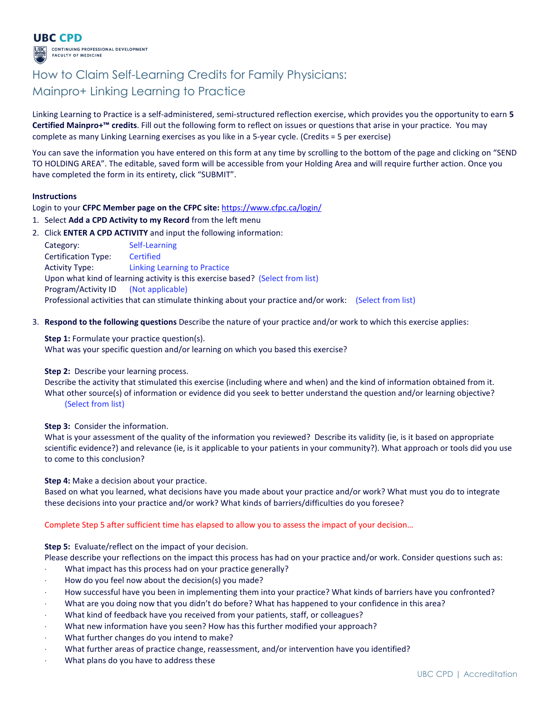

## How to Claim Self-Learning Credits for Family Physicians: Mainpro+ Linking Learning to Practice

Linking Learning to Practice is a self-administered, semi-structured reflection exercise, which provides you the opportunity to earn 5 Certified Mainpro+™ credits. Fill out the following form to reflect on issues or questions that arise in your practice. You may complete as many Linking Learning exercises as you like in a 5-year cycle. (Credits = 5 per exercise)

You can save the information you have entered on this form at any time by scrolling to the bottom of the page and clicking on "SEND TO HOLDING AREA". The editable, saved form will be accessible from your Holding Area and will require further action. Once you have completed the form in its entirety, click "SUBMIT".

#### **Instructions**

Login to your CFPC Member page on the CFPC site: https://www.cfpc.ca/login/

- 1. Select Add a CPD Activity to my Record from the left menu
- 2. Click ENTER A CPD ACTIVITY and input the following information:

| Category:                                                                                               | Self-Learning                |  |
|---------------------------------------------------------------------------------------------------------|------------------------------|--|
| <b>Certification Type:</b>                                                                              | <b>Certified</b>             |  |
| <b>Activity Type:</b>                                                                                   | Linking Learning to Practice |  |
| Upon what kind of learning activity is this exercise based? (Select from list)                          |                              |  |
| Program/Activity ID (Not applicable)                                                                    |                              |  |
| Professional activities that can stimulate thinking about your practice and/or work: (Select from list) |                              |  |

3. Respond to the following questions Describe the nature of your practice and/or work to which this exercise applies:

**Step 1:** Formulate your practice question(s). What was your specific question and/or learning on which you based this exercise?

Step 2: Describe your learning process.

Describe the activity that stimulated this exercise (including where and when) and the kind of information obtained from it. What other source(s) of information or evidence did you seek to better understand the question and/or learning objective? (Select from list)

Step 3: Consider the information.

What is your assessment of the quality of the information you reviewed? Describe its validity (ie, is it based on appropriate scientific evidence?) and relevance (ie, is it applicable to your patients in your community?). What approach or tools did you use to come to this conclusion?

Step 4: Make a decision about your practice.

Based on what you learned, what decisions have you made about your practice and/or work? What must you do to integrate these decisions into your practice and/or work? What kinds of barriers/difficulties do you foresee?

Complete Step 5 after sufficient time has elapsed to allow you to assess the impact of your decision…

Step 5: Evaluate/reflect on the impact of your decision.

Please describe your reflections on the impact this process has had on your practice and/or work. Consider questions such as:

- What impact has this process had on your practice generally?
- ⋅ How do you feel now about the decision(s) you made?
- How successful have you been in implementing them into your practice? What kinds of barriers have you confronted?
- What are you doing now that you didn't do before? What has happened to your confidence in this area?
- ⋅ What kind of feedback have you received from your patients, staff, or colleagues?
- What new information have you seen? How has this further modified your approach?
- ⋅ What further changes do you intend to make?
- What further areas of practice change, reassessment, and/or intervention have you identified?
- What plans do you have to address these